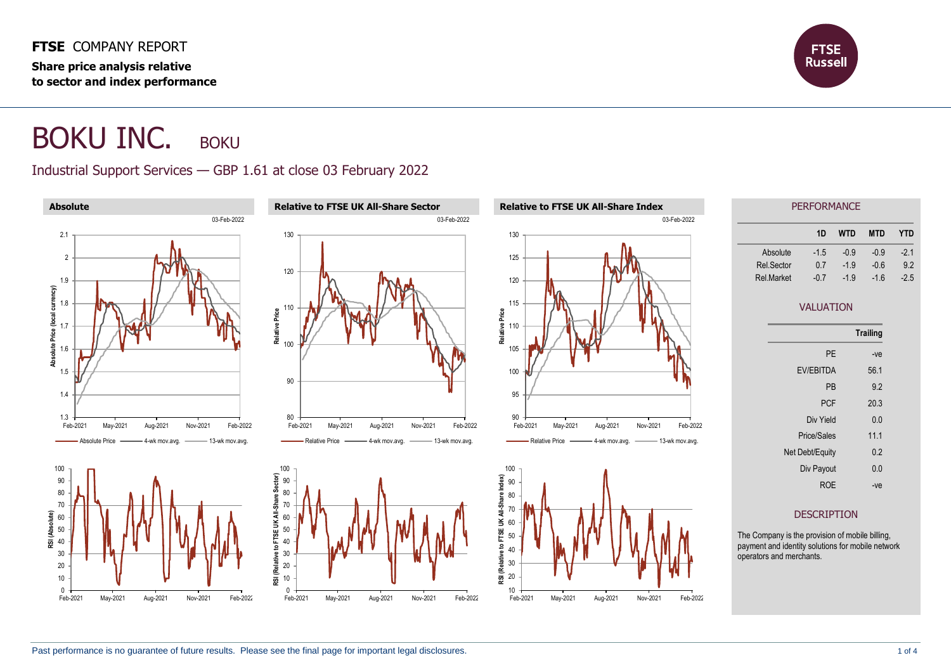**FTSE** COMPANY REPORT **Share price analysis relative to sector and index performance**



## BOKU INC. BOKU

## Industrial Support Services — GBP 1.61 at close 03 February 2022

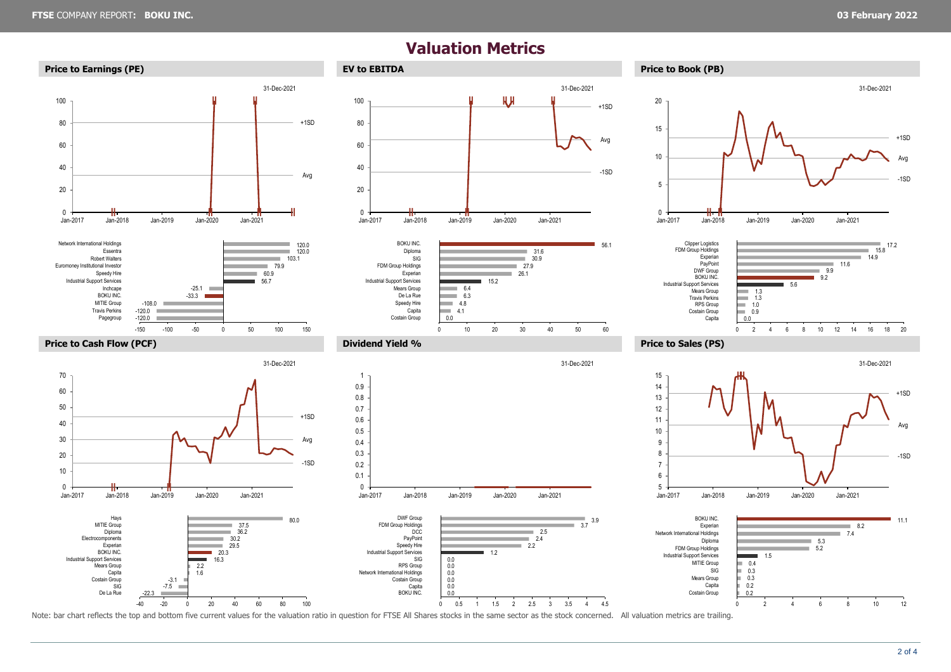## **Valuation Metrics**



Note: bar chart reflects the top and bottom five current values for the valuation ratio in question for FTSE All Shares stocks in the same sector as the stock concerned. All valuation metrics are trailing.

-40 -20 0 20 40 60 80 100

0 2 4 6 8 10 12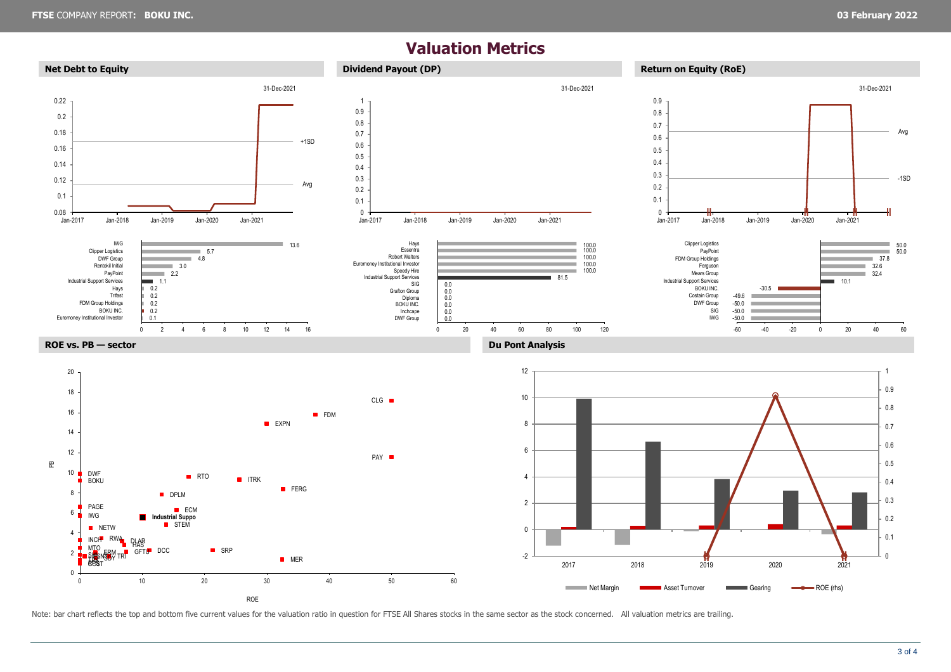## **Valuation Metrics**



Note: bar chart reflects the top and bottom five current values for the valuation ratio in question for FTSE All Shares stocks in the same sector as the stock concerned. All valuation metrics are trailing.